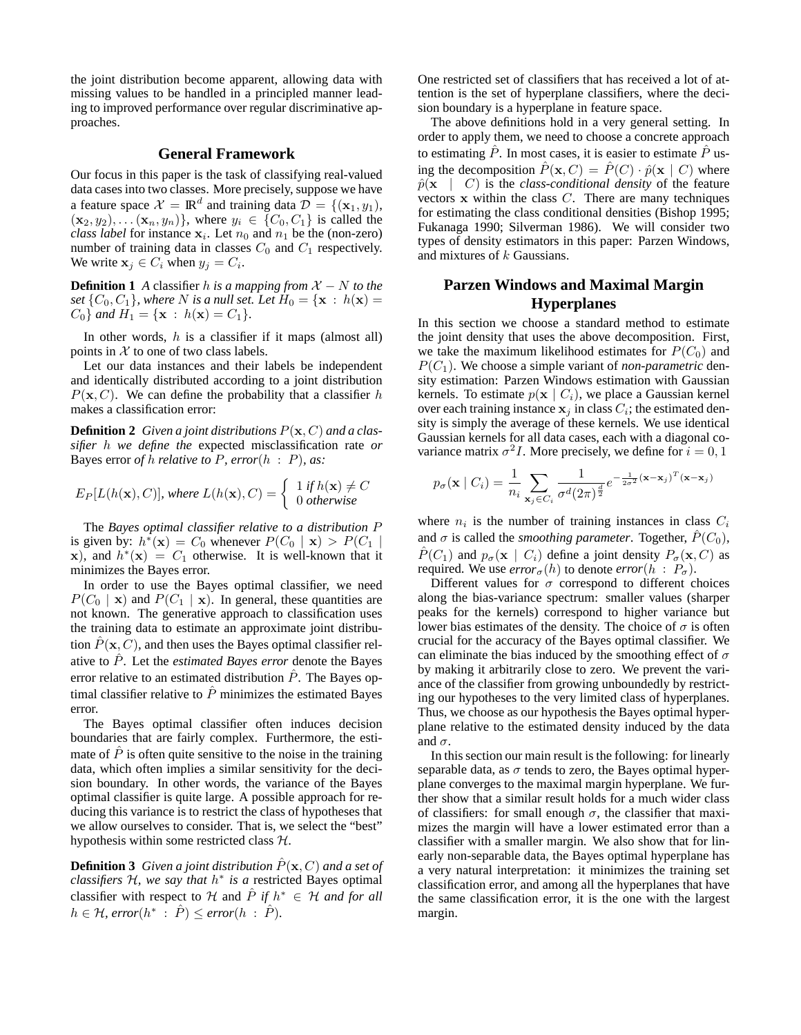the joint distribution become apparent, allowing data with missing values to be handled in a principled manner leading to improved performance over regular discriminative approaches.

## **General Framework**

Our focus in this paper is the task of classifying real-valued data cases into two classes. More precisely, suppose we have a feature space  $\mathcal{X} = \mathbb{R}^d$  and training data  $\mathcal{D} = \{(\mathbf{x}_1, y_1),$  $(\mathbf{x}_2, y_2), \ldots (\mathbf{x}_n, y_n) \},$  where  $y_i \in \{C_0, C_1\}$  is called the *class label* for instance  $x_i$ . Let  $n_0$  and  $n_1$  be the (non-zero) number of training data in classes  $C_0$  and  $C_1$  respectively. We write  $x_j \in C_i$  when  $y_j = C_i$ .

**Definition 1** *A* classifier *h* is a mapping from  $X - N$  to the *set*  $\{C_0, C_1\}$ *, where N is a null set. Let*  $H_0 = \{x : h(x) =$  $C_0$  *and*  $H_1 = {\mathbf{x} : h(\mathbf{x}) = C_1}$ *.* 

In other words,  $h$  is a classifier if it maps (almost all) points in  $X$  to one of two class labels.

Let our data instances and their labels be independent and identically distributed according to a joint distribution  $P(\mathbf{x}, C)$ . We can define the probability that a classifier h makes a classification error:

**Definition 2** *Given a joint distributions* P(x, C) *and a classifier* h *we define the* expected misclassification rate *or* Bayes error *of* h *relative to* P*, error*(h : P)*, as:*

$$
E_P[L(h(\mathbf{x}), C)], where L(h(\mathbf{x}), C) = \begin{cases} 1 & \text{if } h(\mathbf{x}) \neq C \\ 0 & \text{otherwise} \end{cases}
$$

The *Bayes optimal classifier relative to a distribution* P is given by:  $h^*(\mathbf{x}) = C_0$  whenever  $P(C_0 | \mathbf{x}) > P(C_1 |$ x), and  $h^*(x) = C_1$  otherwise. It is well-known that it minimizes the Bayes error.

In order to use the Bayes optimal classifier, we need  $P(C_0 | \mathbf{x})$  and  $P(C_1 | \mathbf{x})$ . In general, these quantities are not known. The generative approach to classification uses the training data to estimate an approximate joint distribution  $P(\mathbf{x}, C)$ , and then uses the Bayes optimal classifier relative to  $\hat{P}$ . Let the *estimated Bayes error* denote the Bayes error relative to an estimated distribution  $\hat{P}$ . The Bayes optimal classifier relative to  $\hat{P}$  minimizes the estimated Bayes error.

The Bayes optimal classifier often induces decision boundaries that are fairly complex. Furthermore, the estimate of  $\hat{P}$  is often quite sensitive to the noise in the training data, which often implies a similar sensitivity for the decision boundary. In other words, the variance of the Bayes optimal classifier is quite large. A possible approach for reducing this variance is to restrict the class of hypotheses that we allow ourselves to consider. That is, we select the "best" hypothesis within some restricted class H.

**Definition 3** *Given a joint distribution*  $\hat{P}(\mathbf{x}, C)$  *and a set of classifiers* H*, we say that* h ∗ *is a* restricted Bayes optimal classifier with respect to H and  $\hat{P}$  *if*  $h^* \in H$  *and for all*  $h \in H$ ,  $error(h^* : \hat{P}) \leq error(h : \hat{P})$ .

One restricted set of classifiers that has received a lot of attention is the set of hyperplane classifiers, where the decision boundary is a hyperplane in feature space.

The above definitions hold in a very general setting. In order to apply them, we need to choose a concrete approach to estimating  $\hat{P}$ . In most cases, it is easier to estimate  $\hat{P}$  using the decomposition  $\hat{P}(\mathbf{x}, C) = \hat{P}(C) \cdot \hat{p}(\mathbf{x} | C)$  where  $\hat{p}(\mathbf{x} \mid C)$  is the *class-conditional density* of the feature vectors  $x$  within the class  $C$ . There are many techniques for estimating the class conditional densities (Bishop 1995; Fukanaga 1990; Silverman 1986). We will consider two types of density estimators in this paper: Parzen Windows, and mixtures of k Gaussians.

# **Parzen Windows and Maximal Margin Hyperplanes**

In this section we choose a standard method to estimate the joint density that uses the above decomposition. First, we take the maximum likelihood estimates for  $P(C_0)$  and  $P(C_1)$ . We choose a simple variant of *non-parametric* density estimation: Parzen Windows estimation with Gaussian kernels. To estimate  $p(x \mid C_i)$ , we place a Gaussian kernel over each training instance  $x_j$  in class  $C_i$ ; the estimated density is simply the average of these kernels. We use identical Gaussian kernels for all data cases, each with a diagonal covariance matrix  $\sigma^2 I$ . More precisely, we define for  $i = 0, 1$ 

$$
p_{\sigma}(\mathbf{x} \mid C_i) = \frac{1}{n_i} \sum_{\mathbf{x}_j \in C_i} \frac{1}{\sigma^d (2\pi)^{\frac{d}{2}}} e^{-\frac{1}{2\sigma^2} (\mathbf{x} - \mathbf{x}_j)^T (\mathbf{x} - \mathbf{x}_j)}
$$

where  $n_i$  is the number of training instances in class  $C_i$ and  $\sigma$  is called the *smoothing parameter*. Together,  $\hat{P}(C_0)$ ,  $\hat{P}(C_1)$  and  $p_{\sigma}(\mathbf{x} \mid C_i)$  define a joint density  $P_{\sigma}(\mathbf{x}, C)$  as required. We use  $error_{\sigma}(h)$  to denote  $error(h : P_{\sigma})$ .

Different values for  $\sigma$  correspond to different choices along the bias-variance spectrum: smaller values (sharper peaks for the kernels) correspond to higher variance but lower bias estimates of the density. The choice of  $\sigma$  is often crucial for the accuracy of the Bayes optimal classifier. We can eliminate the bias induced by the smoothing effect of  $\sigma$ by making it arbitrarily close to zero. We prevent the variance of the classifier from growing unboundedly by restricting our hypotheses to the very limited class of hyperplanes. Thus, we choose as our hypothesis the Bayes optimal hyperplane relative to the estimated density induced by the data and  $\sigma$ .

In this section our main result is the following: for linearly separable data, as  $\sigma$  tends to zero, the Bayes optimal hyperplane converges to the maximal margin hyperplane. We further show that a similar result holds for a much wider class of classifiers: for small enough  $\sigma$ , the classifier that maximizes the margin will have a lower estimated error than a classifier with a smaller margin. We also show that for linearly non-separable data, the Bayes optimal hyperplane has a very natural interpretation: it minimizes the training set classification error, and among all the hyperplanes that have the same classification error, it is the one with the largest margin.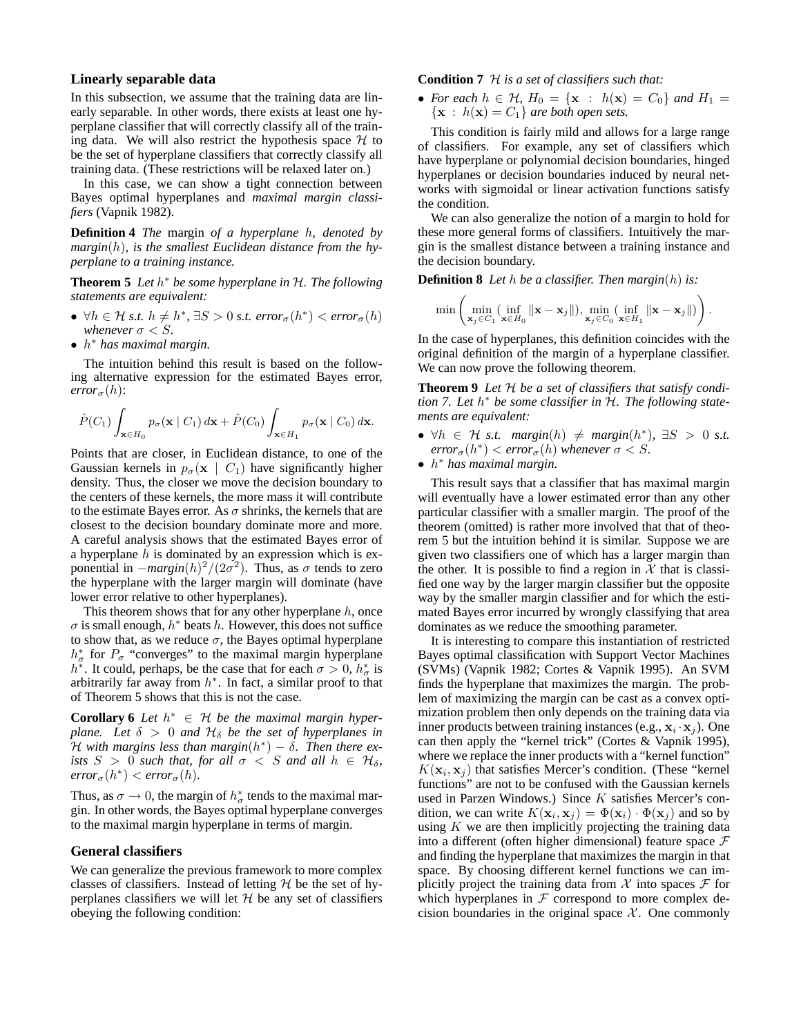## **Linearly separable data**

In this subsection, we assume that the training data are linearly separable. In other words, there exists at least one hyperplane classifier that will correctly classify all of the training data. We will also restrict the hypothesis space  $H$  to be the set of hyperplane classifiers that correctly classify all training data. (These restrictions will be relaxed later on.)

In this case, we can show a tight connection between Bayes optimal hyperplanes and *maximal margin classifiers* (Vapnik 1982).

**Definition 4** *The* margin *of a hyperplane* h*, denoted by margin*(h)*, is the smallest Euclidean distance from the hyperplane to a training instance.*

**Theorem 5** *Let* h <sup>∗</sup> *be some hyperplane in* H*. The following statements are equivalent:*

- $\forall h \in \mathcal{H} \text{ s.t. } h \neq h^*, \exists S > 0 \text{ s.t. } error_{\sigma}(h^*) < error_{\sigma}(h)$ *whenever*  $\sigma < S$ *.*
- h <sup>∗</sup> *has maximal margin.*

The intuition behind this result is based on the following alternative expression for the estimated Bayes error,  $error_{\sigma}(h)$ :

$$
\hat{P}(C_1)\int_{\mathbf{x}\in H_0}p_{\sigma}(\mathbf{x}\mid C_1)\,d\mathbf{x}+\hat{P}(C_0)\int_{\mathbf{x}\in H_1}p_{\sigma}(\mathbf{x}\mid C_0)\,d\mathbf{x}.
$$

Points that are closer, in Euclidean distance, to one of the Gaussian kernels in  $p_{\sigma}(\mathbf{x} \mid C_1)$  have significantly higher density. Thus, the closer we move the decision boundary to the centers of these kernels, the more mass it will contribute to the estimate Bayes error. As  $\sigma$  shrinks, the kernels that are closest to the decision boundary dominate more and more. A careful analysis shows that the estimated Bayes error of a hyperplane  $h$  is dominated by an expression which is exponential in  $-margin(h)^2/(2\sigma^2)$ . Thus, as  $\sigma$  tends to zero the hyperplane with the larger margin will dominate (have lower error relative to other hyperplanes).

This theorem shows that for any other hyperplane  $h$ , once  $\sigma$  is small enough,  $h^*$  beats h. However, this does not suffice to show that, as we reduce  $\sigma$ , the Bayes optimal hyperplane  $h^*_{\sigma}$  for  $P_{\sigma}$  "converges" to the maximal margin hyperplane  $h^*$ . It could, perhaps, be the case that for each  $\sigma > 0$ ,  $h^*_{\sigma}$  is arbitrarily far away from  $h^*$ . In fact, a similar proof to that of Theorem 5 shows that this is not the case.

**Corollary 6** *Let*  $h^* \in H$  *be the maximal margin hyperplane.* Let  $\delta > 0$  *and*  $\mathcal{H}_{\delta}$  *be the set of hyperplanes in* H with margins less than margin(h<sup>\*</sup>) – δ. Then there ex-<br>
<sup>π</sup> *ists*  $S > 0$  *such that, for all*  $\sigma < S$  *and all*  $h \in H_\delta$ *,*  $error_{\sigma}(h^*) < error_{\sigma}(h)$ .

Thus, as  $\sigma \to 0$ , the margin of  $h^*_{\sigma}$  tends to the maximal margin. In other words, the Bayes optimal hyperplane converges to the maximal margin hyperplane in terms of margin.

### **General classifiers**

We can generalize the previous framework to more complex classes of classifiers. Instead of letting  $H$  be the set of hyperplanes classifiers we will let  $H$  be any set of classifiers obeying the following condition:

**Condition 7** H *is a set of classifiers such that:*

• *For each*  $h \in H$ ,  $H_0 = \{x : h(x) = C_0\}$  *and*  $H_1 =$  ${x : h(x) = C_1}$  *are both open sets.* 

This condition is fairly mild and allows for a large range of classifiers. For example, any set of classifiers which have hyperplane or polynomial decision boundaries, hinged hyperplanes or decision boundaries induced by neural networks with sigmoidal or linear activation functions satisfy the condition.

We can also generalize the notion of a margin to hold for these more general forms of classifiers. Intuitively the margin is the smallest distance between a training instance and the decision boundary.

**Definition 8** *Let* h *be a classifier. Then margin*(h) *is:*

$$
\min \left( \min_{\mathbf{x}_j \in C_1} (\inf_{\mathbf{x} \in H_0} \|\mathbf{x} - \mathbf{x}_j\|), \min_{\mathbf{x}_j \in C_0} (\inf_{\mathbf{x} \in H_1} \|\mathbf{x} - \mathbf{x}_j\|) \right).
$$

In the case of hyperplanes, this definition coincides with the original definition of the margin of a hyperplane classifier. We can now prove the following theorem.

**Theorem 9** *Let* H *be a set of classifiers that satisfy condition 7. Let* h <sup>∗</sup> *be some classifier in* H*. The following statements are equivalent:*

- $\forall h \in \mathcal{H}$  *s.t.* margin(h)  $\neq$  margin(h<sup>\*</sup>),  $\exists S > 0$  *s.t.*  $error_{\sigma}(h^*) < error_{\sigma}(h)$  whenever  $\sigma < S$ .
- h <sup>∗</sup> *has maximal margin.*

This result says that a classifier that has maximal margin will eventually have a lower estimated error than any other particular classifier with a smaller margin. The proof of the theorem (omitted) is rather more involved that that of theorem 5 but the intuition behind it is similar. Suppose we are given two classifiers one of which has a larger margin than the other. It is possible to find a region in  $X$  that is classified one way by the larger margin classifier but the opposite way by the smaller margin classifier and for which the estimated Bayes error incurred by wrongly classifying that area dominates as we reduce the smoothing parameter.

It is interesting to compare this instantiation of restricted Bayes optimal classification with Support Vector Machines (SVMs) (Vapnik 1982; Cortes & Vapnik 1995). An SVM finds the hyperplane that maximizes the margin. The problem of maximizing the margin can be cast as a convex optimization problem then only depends on the training data via inner products between training instances (e.g.,  $\mathbf{x}_i \cdot \mathbf{x}_j$ ). One can then apply the "kernel trick" (Cortes & Vapnik 1995), where we replace the inner products with a "kernel function"  $K(\mathbf{x}_i, \mathbf{x}_j)$  that satisfies Mercer's condition. (These "kernel functions" are not to be confused with the Gaussian kernels used in Parzen Windows.) Since  $K$  satisfies Mercer's condition, we can write  $K(\mathbf{x}_i, \mathbf{x}_j) = \Phi(\mathbf{x}_i) \cdot \Phi(\mathbf{x}_j)$  and so by using  $K$  we are then implicitly projecting the training data into a different (often higher dimensional) feature space  $\mathcal F$ and finding the hyperplane that maximizes the margin in that space. By choosing different kernel functions we can implicitly project the training data from  $X$  into spaces  $\mathcal F$  for which hyperplanes in  $F$  correspond to more complex decision boundaries in the original space  $X$ . One commonly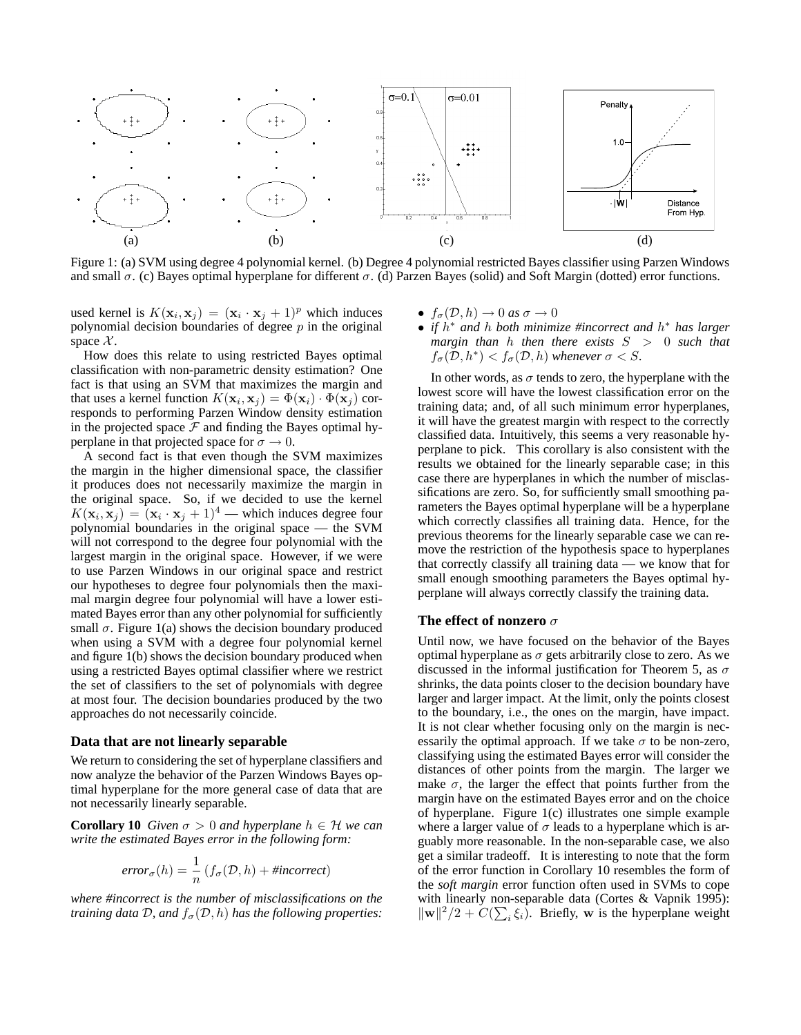

Figure 1: (a) SVM using degree 4 polynomial kernel. (b) Degree 4 polynomial restricted Bayes classifier using Parzen Windows and small  $\sigma$ . (c) Bayes optimal hyperplane for different  $\sigma$ . (d) Parzen Bayes (solid) and Soft Margin (dotted) error functions.

used kernel is  $K(\mathbf{x}_i, \mathbf{x}_j) = (\mathbf{x}_i \cdot \mathbf{x}_j + 1)^p$  which induces polynomial decision boundaries of degree  $p$  in the original space  $\mathcal{X}$ .

How does this relate to using restricted Bayes optimal classification with non-parametric density estimation? One fact is that using an SVM that maximizes the margin and that uses a kernel function  $K(\mathbf{x}_i, \mathbf{x}_j) = \Phi(\mathbf{x}_i) \cdot \Phi(\mathbf{x}_j)$  corresponds to performing Parzen Window density estimation in the projected space  $\mathcal F$  and finding the Bayes optimal hyperplane in that projected space for  $\sigma \to 0$ .

A second fact is that even though the SVM maximizes the margin in the higher dimensional space, the classifier it produces does not necessarily maximize the margin in the original space. So, if we decided to use the kernel  $K(\mathbf{x}_i, \mathbf{x}_j) = (\mathbf{x}_i \cdot \mathbf{x}_j + 1)^4$  — which induces degree four polynomial boundaries in the original space — the SVM will not correspond to the degree four polynomial with the largest margin in the original space. However, if we were to use Parzen Windows in our original space and restrict our hypotheses to degree four polynomials then the maximal margin degree four polynomial will have a lower estimated Bayes error than any other polynomial for sufficiently small  $\sigma$ . Figure 1(a) shows the decision boundary produced when using a SVM with a degree four polynomial kernel and figure 1(b) shows the decision boundary produced when using a restricted Bayes optimal classifier where we restrict the set of classifiers to the set of polynomials with degree at most four. The decision boundaries produced by the two approaches do not necessarily coincide.

#### **Data that are not linearly separable**

We return to considering the set of hyperplane classifiers and now analyze the behavior of the Parzen Windows Bayes optimal hyperplane for the more general case of data that are not necessarily linearly separable.

**Corollary 10** *Given*  $\sigma > 0$  *and hyperplane*  $h \in H$  *we can write the estimated Bayes error in the following form:*

$$
error_{\sigma}(h) = \frac{1}{n} (f_{\sigma}(\mathcal{D}, h) + \text{#incorrect})
$$

*where #incorrect is the number of misclassifications on the training data*  $D$ *, and*  $f_{\sigma}(D, h)$  *has the following properties:* 

- $f_{\sigma}(\mathcal{D}, h) \rightarrow 0$  *as*  $\sigma \rightarrow 0$
- *if* h <sup>∗</sup> *and* h *both minimize #incorrect and* h <sup>∗</sup> *has larger margin than* h *then there exists* S > 0 *such that*  $f_{\sigma}(\mathcal{D}, h^*) < f_{\sigma}(\mathcal{D}, h)$  whenever  $\sigma < S$ .

In other words, as  $\sigma$  tends to zero, the hyperplane with the lowest score will have the lowest classification error on the training data; and, of all such minimum error hyperplanes, it will have the greatest margin with respect to the correctly classified data. Intuitively, this seems a very reasonable hyperplane to pick. This corollary is also consistent with the results we obtained for the linearly separable case; in this case there are hyperplanes in which the number of misclassifications are zero. So, for sufficiently small smoothing parameters the Bayes optimal hyperplane will be a hyperplane which correctly classifies all training data. Hence, for the previous theorems for the linearly separable case we can remove the restriction of the hypothesis space to hyperplanes that correctly classify all training data — we know that for small enough smoothing parameters the Bayes optimal hyperplane will always correctly classify the training data.

#### **The effect of nonzero** σ

Until now, we have focused on the behavior of the Bayes optimal hyperplane as  $\sigma$  gets arbitrarily close to zero. As we discussed in the informal justification for Theorem 5, as  $\sigma$ shrinks, the data points closer to the decision boundary have larger and larger impact. At the limit, only the points closest to the boundary, i.e., the ones on the margin, have impact. It is not clear whether focusing only on the margin is necessarily the optimal approach. If we take  $\sigma$  to be non-zero, classifying using the estimated Bayes error will consider the distances of other points from the margin. The larger we make  $\sigma$ , the larger the effect that points further from the margin have on the estimated Bayes error and on the choice of hyperplane. Figure 1(c) illustrates one simple example where a larger value of  $\sigma$  leads to a hyperplane which is arguably more reasonable. In the non-separable case, we also get a similar tradeoff. It is interesting to note that the form of the error function in Corollary 10 resembles the form of the *soft margin* error function often used in SVMs to cope with linearly non-separable data (Cortes & Vapnik 1995):  $\|\mathbf{w}\|^2/2 + C(\sum_i \xi_i)$ . Briefly, w is the hyperplane weight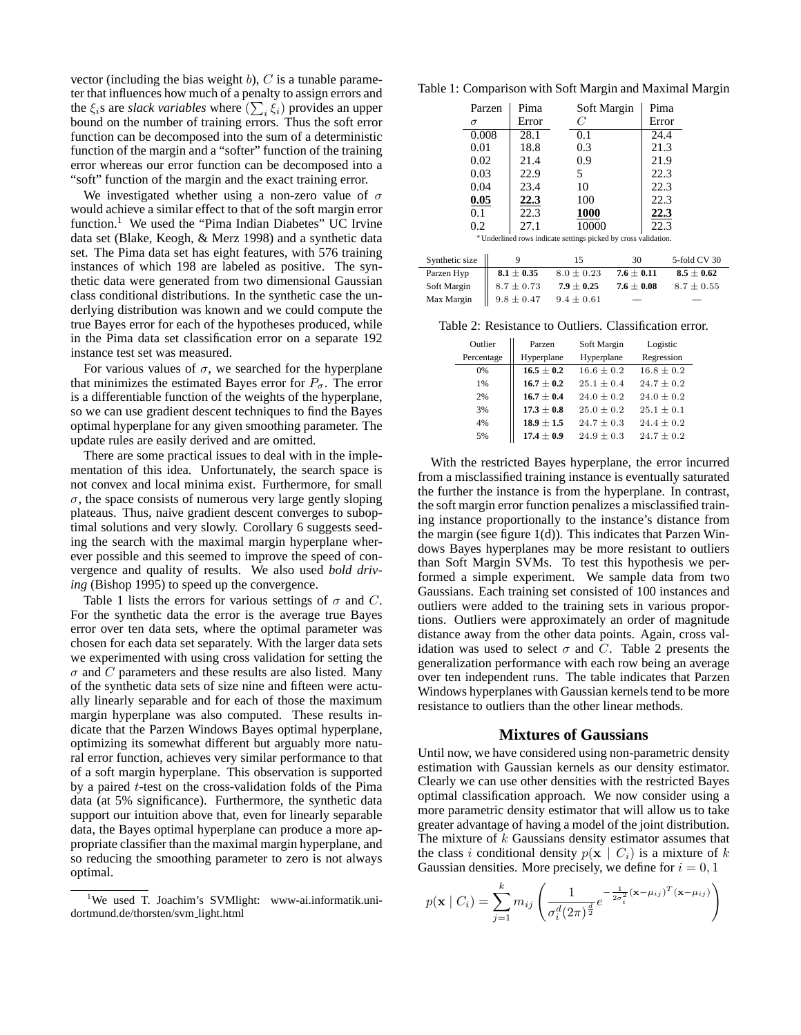vector (including the bias weight  $b$ ),  $C$  is a tunable parameter that influences how much of a penalty to assign errors and the  $\xi_i$ s are *slack variables* where  $(\sum_i \xi_i)$  provides an upper bound on the number of training errors. Thus the soft error function can be decomposed into the sum of a deterministic function of the margin and a "softer" function of the training error whereas our error function can be decomposed into a "soft" function of the margin and the exact training error.

We investigated whether using a non-zero value of  $\sigma$ would achieve a similar effect to that of the soft margin error function.<sup>1</sup> We used the "Pima Indian Diabetes" UC Irvine data set (Blake, Keogh, & Merz 1998) and a synthetic data set. The Pima data set has eight features, with 576 training instances of which 198 are labeled as positive. The synthetic data were generated from two dimensional Gaussian class conditional distributions. In the synthetic case the underlying distribution was known and we could compute the true Bayes error for each of the hypotheses produced, while in the Pima data set classification error on a separate 192 instance test set was measured.

For various values of  $\sigma$ , we searched for the hyperplane that minimizes the estimated Bayes error for  $P_{\sigma}$ . The error is a differentiable function of the weights of the hyperplane, so we can use gradient descent techniques to find the Bayes optimal hyperplane for any given smoothing parameter. The update rules are easily derived and are omitted.

There are some practical issues to deal with in the implementation of this idea. Unfortunately, the search space is not convex and local minima exist. Furthermore, for small  $\sigma$ , the space consists of numerous very large gently sloping plateaus. Thus, naive gradient descent converges to suboptimal solutions and very slowly. Corollary 6 suggests seeding the search with the maximal margin hyperplane wherever possible and this seemed to improve the speed of convergence and quality of results. We also used *bold driving* (Bishop 1995) to speed up the convergence.

Table 1 lists the errors for various settings of  $\sigma$  and C. For the synthetic data the error is the average true Bayes error over ten data sets, where the optimal parameter was chosen for each data set separately. With the larger data sets we experimented with using cross validation for setting the  $\sigma$  and C parameters and these results are also listed. Many of the synthetic data sets of size nine and fifteen were actually linearly separable and for each of those the maximum margin hyperplane was also computed. These results indicate that the Parzen Windows Bayes optimal hyperplane, optimizing its somewhat different but arguably more natural error function, achieves very similar performance to that of a soft margin hyperplane. This observation is supported by a paired t-test on the cross-validation folds of the Pima data (at 5% significance). Furthermore, the synthetic data support our intuition above that, even for linearly separable data, the Bayes optimal hyperplane can produce a more appropriate classifier than the maximal margin hyperplane, and so reducing the smoothing parameter to zero is not always optimal.

Table 1: Comparison with Soft Margin and Maximal Margin

| Parzen                                                          | Pima  | Soft Margin | Pima  |  |
|-----------------------------------------------------------------|-------|-------------|-------|--|
| $\sigma$                                                        | Error | C           | Error |  |
| 0.008                                                           | 28.1  | 0.1         | 24.4  |  |
| 0.01                                                            | 18.8  | 0.3         | 21.3  |  |
| 0.02                                                            | 21.4  | 0.9         | 21.9  |  |
| 0.03                                                            | 22.9  | 5           | 22.3  |  |
| 0.04                                                            | 23.4  | 10          | 22.3  |  |
| 0.05                                                            | 22.3  | 100         | 22.3  |  |
| 0.1                                                             | 22.3  | 1000        | 22.3  |  |
| 0.2                                                             | 27.1  | 10000       | 22.3  |  |
| * Underlined rows indicate settings picked by cross validation. |       |             |       |  |

| Synthetic size                          |                | 15             | 30             | 5-fold CV 30   |
|-----------------------------------------|----------------|----------------|----------------|----------------|
|                                         | $8.1 \pm 0.35$ | $8.0 \pm 0.23$ | $7.6 \pm 0.11$ | $8.5 \pm 0.62$ |
|                                         | $8.7 \pm 0.73$ | $7.9 \pm 0.25$ | $7.6 \pm 0.08$ | $8.7 \pm 0.55$ |
| Parzen Hyp<br>Soft Margin<br>Max Margin | $9.8 \pm 0.47$ | $9.4 \pm 0.61$ |                |                |

Table 2: Resistance to Outliers. Classification error.

| Outlier    | Parzen         | Soft Margin    | Logistic       |
|------------|----------------|----------------|----------------|
| Percentage | Hyperplane     | Hyperplane     | Regression     |
| 0%         | $16.5 + 0.2$   | $16.6 \pm 0.2$ | $16.8 + 0.2$   |
| 1%         | $16.7 + 0.2$   | $25.1 + 0.4$   | $24.7 + 0.2$   |
| 2%         | $16.7 + 0.4$   | $24.0 + 0.2$   | $24.0 + 0.2$   |
| 3%         | $17.3 \pm 0.8$ | $25.0 + 0.2$   | $25.1 \pm 0.1$ |
| 4%         | $18.9 \pm 1.5$ | $24.7 + 0.3$   | $24.4 + 0.2$   |
| 5%         | $17.4 \pm 0.9$ | $24.9 + 0.3$   | $24.7 + 0.2$   |

With the restricted Bayes hyperplane, the error incurred from a misclassified training instance is eventually saturated the further the instance is from the hyperplane. In contrast, the soft margin error function penalizes a misclassified training instance proportionally to the instance's distance from the margin (see figure 1(d)). This indicates that Parzen Windows Bayes hyperplanes may be more resistant to outliers than Soft Margin SVMs. To test this hypothesis we performed a simple experiment. We sample data from two Gaussians. Each training set consisted of 100 instances and outliers were added to the training sets in various proportions. Outliers were approximately an order of magnitude distance away from the other data points. Again, cross validation was used to select  $\sigma$  and C. Table 2 presents the generalization performance with each row being an average over ten independent runs. The table indicates that Parzen Windows hyperplanes with Gaussian kernels tend to be more resistance to outliers than the other linear methods.

#### **Mixtures of Gaussians**

Until now, we have considered using non-parametric density estimation with Gaussian kernels as our density estimator. Clearly we can use other densities with the restricted Bayes optimal classification approach. We now consider using a more parametric density estimator that will allow us to take greater advantage of having a model of the joint distribution. The mixture of  $k$  Gaussians density estimator assumes that the class i conditional density  $p(\mathbf{x} \mid C_i)$  is a mixture of k Gaussian densities. More precisely, we define for  $i = 0, 1$ 

$$
p(\mathbf{x} \mid C_i) = \sum_{j=1}^{k} m_{ij} \left( \frac{1}{\sigma_i^d (2\pi)^{\frac{d}{2}}} e^{-\frac{1}{2\sigma_i^2} (\mathbf{x} - \mu_{ij})^T (\mathbf{x} - \mu_{ij})} \right)
$$

<sup>&</sup>lt;sup>1</sup>We used T. Joachim's SVMlight: www-ai.informatik.unidortmund.de/thorsten/svm light.html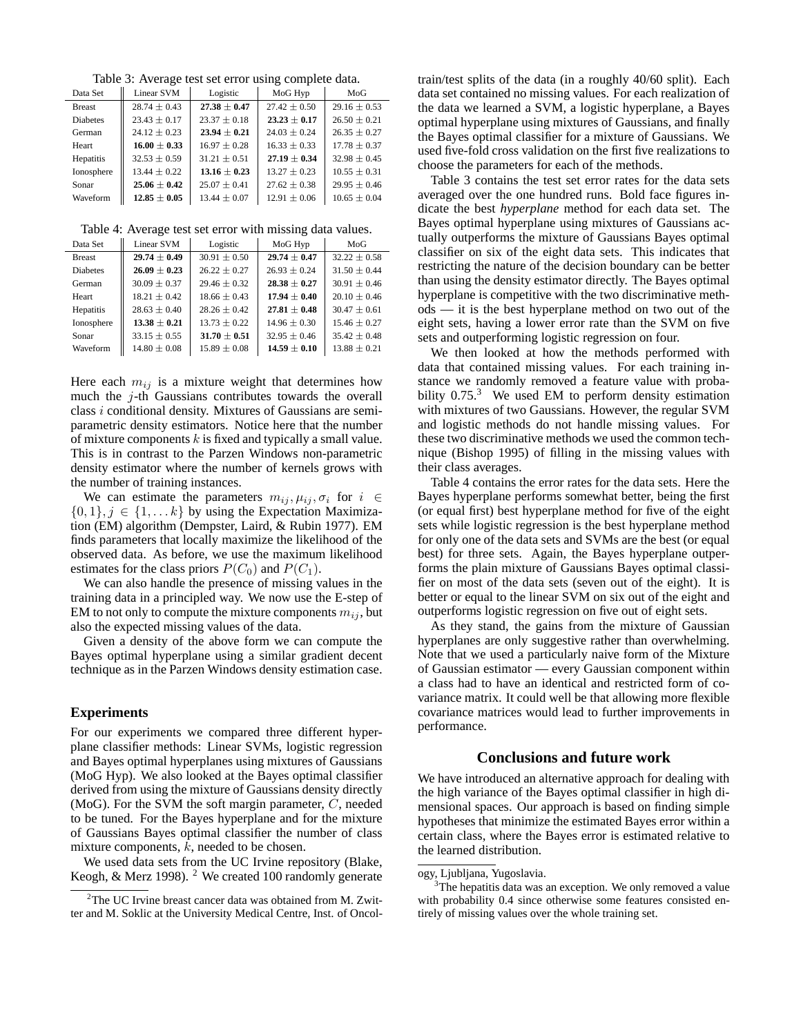Table 3: Average test set error using complete data.

| Data Set        | Linear SVM       | Logistic         | MoG Hyp          | MoG              |
|-----------------|------------------|------------------|------------------|------------------|
| <b>Breast</b>   | $28.74 \pm 0.43$ | $27.38 \pm 0.47$ | $27.42 \pm 0.50$ | $29.16 \pm 0.53$ |
| <b>Diabetes</b> | $23.43 \pm 0.17$ | $23.37 \pm 0.18$ | $23.23 \pm 0.17$ | $26.50 \pm 0.21$ |
| German          | $24.12 \pm 0.23$ | $23.94 \pm 0.21$ | $24.03 \pm 0.24$ | $26.35 \pm 0.27$ |
| Heart           | $16.00 + 0.33$   | $16.97 \pm 0.28$ | $16.33 \pm 0.33$ | $17.78 + 0.37$   |
| Hepatitis       | $32.53 \pm 0.59$ | $31.21 \pm 0.51$ | $27.19 \pm 0.34$ | $32.98 \pm 0.45$ |
| Ionosphere      | $13.44 \pm 0.22$ | $13.16 \pm 0.23$ | $13.27 \pm 0.23$ | $10.55 \pm 0.31$ |
| Sonar           | $25.06 + 0.42$   | $25.07 \pm 0.41$ | $27.62 \pm 0.38$ | $29.95 \pm 0.46$ |
| Waveform        | $12.85 \pm 0.05$ | $13.44 \pm 0.07$ | $12.91 \pm 0.06$ | $10.65 \pm 0.04$ |

Table 4: Average test set error with missing data values.

| Data Set        | Linear SVM       | Logistic         | MoG Hyp          | MoG              |
|-----------------|------------------|------------------|------------------|------------------|
| <b>Breast</b>   | $29.74 \pm 0.49$ | $30.91 \pm 0.50$ | $29.74 + 0.47$   | $32.22 \pm 0.58$ |
| <b>Diabetes</b> | $26.09 \pm 0.23$ | $26.22 \pm 0.27$ | $26.93 \pm 0.24$ | $31.50 \pm 0.44$ |
| German          | $30.09 \pm 0.37$ | $29.46 \pm 0.32$ | $28.38 + 0.27$   | $30.91 \pm 0.46$ |
| Heart           | $18.21 \pm 0.42$ | $18.66 \pm 0.43$ | $17.94 + 0.40$   | $20.10 \pm 0.46$ |
| Hepatitis       | $28.63 + 0.40$   | $28.26 + 0.42$   | $27.81 \pm 0.48$ | $30.47 + 0.61$   |
| Ionosphere      | $13.38 + 0.21$   | $13.73 \pm 0.22$ | $14.96 + 0.30$   | $15.46 + 0.27$   |
| Sonar           | $33.15 \pm 0.55$ | $31.70 \pm 0.51$ | $32.95 \pm 0.46$ | $35.42 \pm 0.48$ |
| Waveform        | $14.80 \pm 0.08$ | $15.89 \pm 0.08$ | $14.59 \pm 0.10$ | $13.88 + 0.21$   |

Here each  $m_{ij}$  is a mixture weight that determines how much the j-th Gaussians contributes towards the overall class i conditional density. Mixtures of Gaussians are semiparametric density estimators. Notice here that the number of mixture components  $k$  is fixed and typically a small value. This is in contrast to the Parzen Windows non-parametric density estimator where the number of kernels grows with the number of training instances.

We can estimate the parameters  $m_{ij}$ ,  $\mu_{ij}$ ,  $\sigma_i$  for  $i \in$  $\{0, 1\}, j \in \{1, \ldots k\}$  by using the Expectation Maximization (EM) algorithm (Dempster, Laird, & Rubin 1977). EM finds parameters that locally maximize the likelihood of the observed data. As before, we use the maximum likelihood estimates for the class priors  $P(C_0)$  and  $P(C_1)$ .

We can also handle the presence of missing values in the training data in a principled way. We now use the E-step of EM to not only to compute the mixture components  $m_{ij}$ , but also the expected missing values of the data.

Given a density of the above form we can compute the Bayes optimal hyperplane using a similar gradient decent technique as in the Parzen Windows density estimation case.

#### **Experiments**

For our experiments we compared three different hyperplane classifier methods: Linear SVMs, logistic regression and Bayes optimal hyperplanes using mixtures of Gaussians (MoG Hyp). We also looked at the Bayes optimal classifier derived from using the mixture of Gaussians density directly (MoG). For the SVM the soft margin parameter, C, needed to be tuned. For the Bayes hyperplane and for the mixture of Gaussians Bayes optimal classifier the number of class mixture components,  $k$ , needed to be chosen.

We used data sets from the UC Irvine repository (Blake, Keogh, & Merz 1998). <sup>2</sup> We created 100 randomly generate

train/test splits of the data (in a roughly 40/60 split). Each data set contained no missing values. For each realization of the data we learned a SVM, a logistic hyperplane, a Bayes optimal hyperplane using mixtures of Gaussians, and finally the Bayes optimal classifier for a mixture of Gaussians. We used five-fold cross validation on the first five realizations to choose the parameters for each of the methods.

Table 3 contains the test set error rates for the data sets averaged over the one hundred runs. Bold face figures indicate the best *hyperplane* method for each data set. The Bayes optimal hyperplane using mixtures of Gaussians actually outperforms the mixture of Gaussians Bayes optimal classifier on six of the eight data sets. This indicates that restricting the nature of the decision boundary can be better than using the density estimator directly. The Bayes optimal hyperplane is competitive with the two discriminative methods — it is the best hyperplane method on two out of the eight sets, having a lower error rate than the SVM on five sets and outperforming logistic regression on four.

We then looked at how the methods performed with data that contained missing values. For each training instance we randomly removed a feature value with probability  $0.75<sup>3</sup>$  We used EM to perform density estimation with mixtures of two Gaussians. However, the regular SVM and logistic methods do not handle missing values. For these two discriminative methods we used the common technique (Bishop 1995) of filling in the missing values with their class averages.

Table 4 contains the error rates for the data sets. Here the Bayes hyperplane performs somewhat better, being the first (or equal first) best hyperplane method for five of the eight sets while logistic regression is the best hyperplane method for only one of the data sets and SVMs are the best (or equal best) for three sets. Again, the Bayes hyperplane outperforms the plain mixture of Gaussians Bayes optimal classifier on most of the data sets (seven out of the eight). It is better or equal to the linear SVM on six out of the eight and outperforms logistic regression on five out of eight sets.

As they stand, the gains from the mixture of Gaussian hyperplanes are only suggestive rather than overwhelming. Note that we used a particularly naive form of the Mixture of Gaussian estimator — every Gaussian component within a class had to have an identical and restricted form of covariance matrix. It could well be that allowing more flexible covariance matrices would lead to further improvements in performance.

## **Conclusions and future work**

We have introduced an alternative approach for dealing with the high variance of the Bayes optimal classifier in high dimensional spaces. Our approach is based on finding simple hypotheses that minimize the estimated Bayes error within a certain class, where the Bayes error is estimated relative to the learned distribution.

<sup>&</sup>lt;sup>2</sup>The UC Irvine breast cancer data was obtained from M. Zwitter and M. Soklic at the University Medical Centre, Inst. of Oncol-

ogy, Ljubljana, Yugoslavia.

<sup>&</sup>lt;sup>3</sup>The hepatitis data was an exception. We only removed a value with probability 0.4 since otherwise some features consisted entirely of missing values over the whole training set.